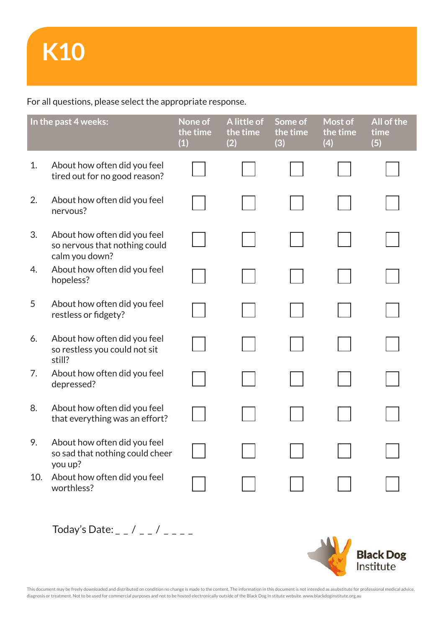For all questions, please select the appropriate response.

| In the past 4 weeks: |                                                                                 | None of<br>the time<br>(1) | A little of<br>the time<br>(2) | Some of<br>the time<br>(3) | Most of<br>the time<br>(4) | All of the<br>time<br>(5) |
|----------------------|---------------------------------------------------------------------------------|----------------------------|--------------------------------|----------------------------|----------------------------|---------------------------|
| 1.                   | About how often did you feel<br>tired out for no good reason?                   |                            |                                |                            |                            |                           |
| 2.                   | About how often did you feel<br>nervous?                                        |                            |                                |                            |                            |                           |
| 3.                   | About how often did you feel<br>so nervous that nothing could<br>calm you down? |                            |                                |                            |                            |                           |
| 4.                   | About how often did you feel<br>hopeless?                                       |                            |                                |                            |                            |                           |
| 5                    | About how often did you feel<br>restless or fidgety?                            |                            |                                |                            |                            |                           |
| 6.                   | About how often did you feel<br>so restless you could not sit<br>still?         |                            |                                |                            |                            |                           |
| 7.                   | About how often did you feel<br>depressed?                                      |                            |                                |                            |                            |                           |
| 8.                   | About how often did you feel<br>that everything was an effort?                  |                            |                                |                            |                            |                           |
| 9.                   | About how often did you feel<br>so sad that nothing could cheer<br>you up?      |                            |                                |                            |                            |                           |
| 10.                  | About how often did you feel<br>worthless?                                      |                            |                                |                            |                            |                           |